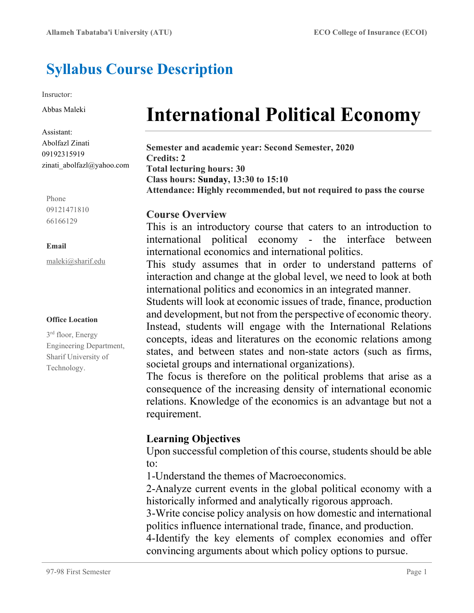# Syllabus Course Description

Insructor:

Abbas Maleki

Assistant: Abolfazl Zinati 09192315919 zinati\_abolfazl@yahoo.com

Phone 09121471810 66166129

#### Email

maleki@sharif.edu

#### Office Location

3 rd floor, Energy Engineering Department, Sharif University of Technology.

# International Political Economy

Semester and academic year: Second Semester, 2020 Credits: 2 Total lecturing hours: 30 Class hours: Sunday, 13:30 to 15:10 Attendance: Highly recommended, but not required to pass the course

#### Course Overview

This is an introductory course that caters to an introduction to international political economy - the interface between international economics and international politics.

This study assumes that in order to understand patterns of interaction and change at the global level, we need to look at both international politics and economics in an integrated manner.

Students will look at economic issues of trade, finance, production and development, but not from the perspective of economic theory. Instead, students will engage with the International Relations concepts, ideas and literatures on the economic relations among states, and between states and non-state actors (such as firms, societal groups and international organizations).

The focus is therefore on the political problems that arise as a consequence of the increasing density of international economic relations. Knowledge of the economics is an advantage but not a requirement.

## Learning Objectives

Upon successful completion of this course, students should be able to:

1-Understand the themes of Macroeconomics.

2-Analyze current events in the global political economy with a historically informed and analytically rigorous approach.

3-Write concise policy analysis on how domestic and international politics influence international trade, finance, and production.

4-Identify the key elements of complex economies and offer convincing arguments about which policy options to pursue.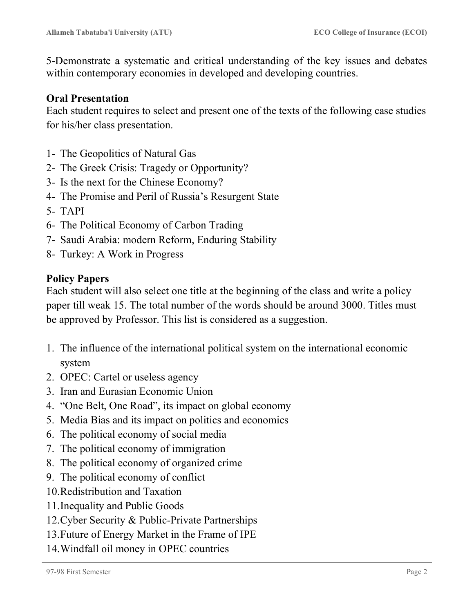5-Demonstrate a systematic and critical understanding of the key issues and debates within contemporary economies in developed and developing countries.

#### Oral Presentation

Each student requires to select and present one of the texts of the following case studies for his/her class presentation.

- 1- The Geopolitics of Natural Gas
- 2- The Greek Crisis: Tragedy or Opportunity?
- 3- Is the next for the Chinese Economy?
- 4- The Promise and Peril of Russia's Resurgent State
- 5- TAPI
- 6- The Political Economy of Carbon Trading
- 7- Saudi Arabia: modern Reform, Enduring Stability
- 8- Turkey: A Work in Progress

#### Policy Papers

Each student will also select one title at the beginning of the class and write a policy paper till weak 15. The total number of the words should be around 3000. Titles must be approved by Professor. This list is considered as a suggestion.

- 1. The influence of the international political system on the international economic system
- 2. OPEC: Cartel or useless agency
- 3. Iran and Eurasian Economic Union
- 4. "One Belt, One Road", its impact on global economy
- 5. Media Bias and its impact on politics and economics
- 6. The political economy of social media
- 7. The political economy of immigration
- 8. The political economy of organized crime
- 9. The political economy of conflict
- 10.Redistribution and Taxation
- 11.Inequality and Public Goods
- 12.Cyber Security & Public-Private Partnerships
- 13.Future of Energy Market in the Frame of IPE
- 14.Windfall oil money in OPEC countries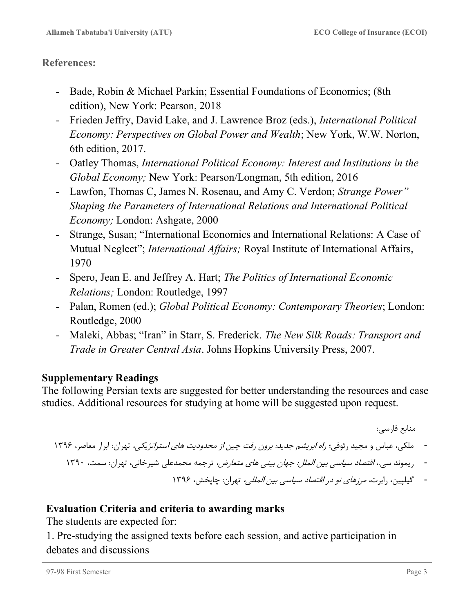#### References:

- Bade, Robin & Michael Parkin; Essential Foundations of Economics; (8th edition), New York: Pearson, 2018
- Frieden Jeffry, David Lake, and J. Lawrence Broz (eds.), International Political Economy: Perspectives on Global Power and Wealth; New York, W.W. Norton, 6th edition, 2017.
- Oatley Thomas, International Political Economy: Interest and Institutions in the Global Economy; New York: Pearson/Longman, 5th edition, 2016
- Lawfon, Thomas C, James N. Rosenau, and Amy C. Verdon; Strange Power" Shaping the Parameters of International Relations and International Political Economy; London: Ashgate, 2000
- Strange, Susan; "International Economics and International Relations: A Case of Mutual Neglect"; *International Affairs*; Royal Institute of International Affairs, 1970
- Spero, Jean E. and Jeffrey A. Hart; The Politics of International Economic Relations; London: Routledge, 1997
- Palan, Romen (ed.); Global Political Economy: Contemporary Theories; London: Routledge, 2000
- Maleki, Abbas; "Iran" in Starr, S. Frederick. The New Silk Roads: Transport and Trade in Greater Central Asia. Johns Hopkins University Press, 2007.

#### Supplementary Readings

The following Persian texts are suggested for better understanding the resources and case studies. Additional resources for studying at home will be suggested upon request.

منابع فارسي:

```
- ملكي، عباس و مجيد رئوفي؛ راه ابريشم جديد: برون رفت چين از محدوديت هاي استراتژيكي، تهران: ابرار معاصر، ١٣٩٦
```
- ريموند سي،. اقتصاد سياسي بين الملل: جهان بيني هاي متعارض، ترجمه محمدعلي شيرخاني، تهران: سمت، ١٣٩٠

- گيلپين، رابرت، مرزهاي نو در اقتصاد سياسي بين المللي، تهران: چاپخش، ١٣٩٦

## Evaluation Criteria and criteria to awarding marks

The students are expected for:

1. Pre-studying the assigned texts before each session, and active participation in debates and discussions